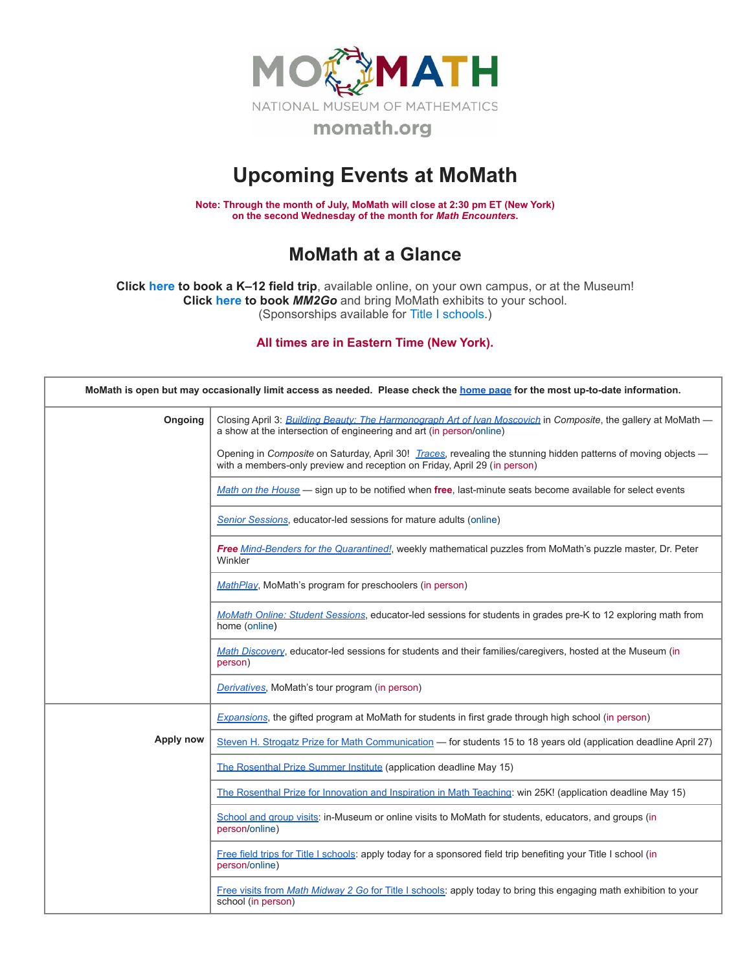

## **Upcoming Events at MoMath**

**Note: Through the month of July, MoMath will close at 2:30 pm ET (New York) on the second Wednesday of the month for** *Math [Encounters](http://mathencounters.org/)***.**

## **MoMath at a Glance**

**Click [here](http://fieldtrips.momath.org/) to book a K–12 field trip**, available online, on your own campus, or at the Museum! **Click [here](http://mm2go.momath.org/) to book** *MM2Go* and bring MoMath exhibits to your school. (Sponsorships available for Title I [schools.](http://titleone.momath.org/))

**All times are in Eastern Time (New York).**

| MoMath is open but may occasionally limit access as needed. Please check the home page for the most up-to-date information. |                                                                                                                                                                                             |  |  |  |
|-----------------------------------------------------------------------------------------------------------------------------|---------------------------------------------------------------------------------------------------------------------------------------------------------------------------------------------|--|--|--|
| Ongoing                                                                                                                     | Closing April 3: Building Beauty: The Harmonograph Art of Ivan Moscovich in Composite, the gallery at MoMath -<br>a show at the intersection of engineering and art (in person/online)      |  |  |  |
|                                                                                                                             | Opening in Composite on Saturday, April 30! Traces, revealing the stunning hidden patterns of moving objects —<br>with a members-only preview and reception on Friday, April 29 (in person) |  |  |  |
|                                                                                                                             | Math on the House — sign up to be notified when free, last-minute seats become available for select events                                                                                  |  |  |  |
|                                                                                                                             | Senior Sessions, educator-led sessions for mature adults (online)                                                                                                                           |  |  |  |
|                                                                                                                             | Free Mind-Benders for the Quarantined!, weekly mathematical puzzles from MoMath's puzzle master, Dr. Peter<br>Winkler                                                                       |  |  |  |
|                                                                                                                             | MathPlay, MoMath's program for preschoolers (in person)                                                                                                                                     |  |  |  |
|                                                                                                                             | MoMath Online: Student Sessions, educator-led sessions for students in grades pre-K to 12 exploring math from<br>home (online)                                                              |  |  |  |
|                                                                                                                             | Math Discovery, educator-led sessions for students and their families/caregivers, hosted at the Museum (in<br>person)                                                                       |  |  |  |
|                                                                                                                             | Derivatives, MoMath's tour program (in person)                                                                                                                                              |  |  |  |
|                                                                                                                             | Expansions, the gifted program at MoMath for students in first grade through high school (in person)                                                                                        |  |  |  |
| Apply now                                                                                                                   | Steven H. Strogatz Prize for Math Communication — for students 15 to 18 years old (application deadline April 27)                                                                           |  |  |  |
|                                                                                                                             | The Rosenthal Prize Summer Institute (application deadline May 15)                                                                                                                          |  |  |  |
|                                                                                                                             | The Rosenthal Prize for Innovation and Inspiration in Math Teaching: win 25K! (application deadline May 15)                                                                                 |  |  |  |
|                                                                                                                             | School and group visits: in-Museum or online visits to MoMath for students, educators, and groups (in<br>person/online)                                                                     |  |  |  |
|                                                                                                                             | Free field trips for Title I schools: apply today for a sponsored field trip benefiting your Title I school (in<br>person/online)                                                           |  |  |  |
|                                                                                                                             | Free visits from Math Midway 2 Go for Title I schools: apply today to bring this engaging math exhibition to your<br>school (in person)                                                     |  |  |  |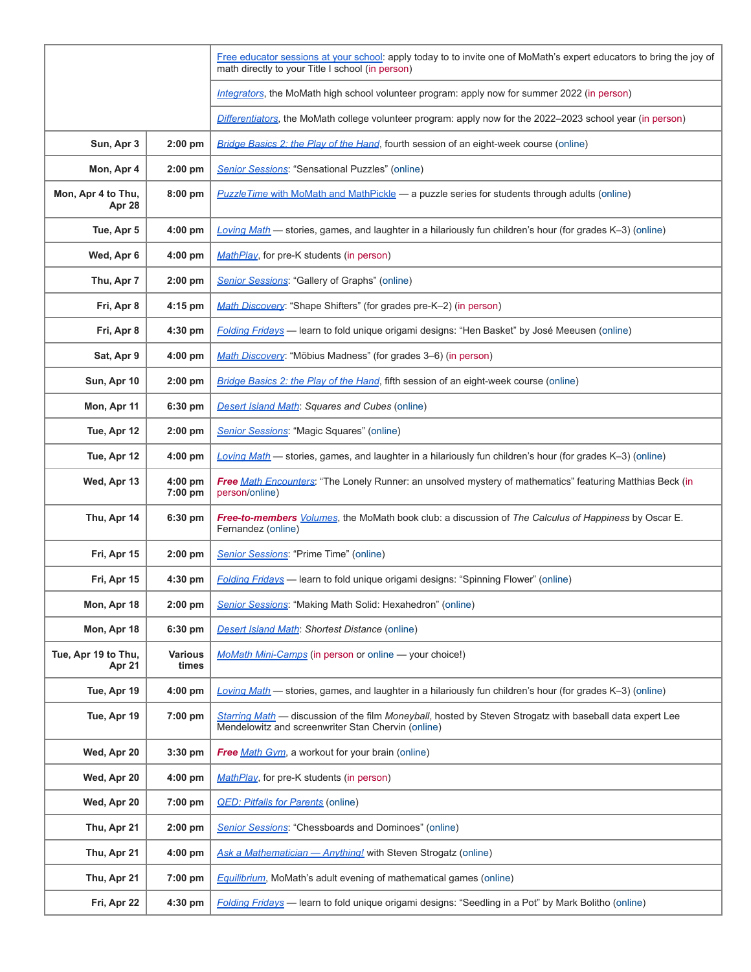|                               |                         | Free educator sessions at your school: apply today to to invite one of MoMath's expert educators to bring the joy of<br>math directly to your Title I school (in person) |
|-------------------------------|-------------------------|--------------------------------------------------------------------------------------------------------------------------------------------------------------------------|
|                               |                         | Integrators, the MoMath high school volunteer program: apply now for summer 2022 (in person)                                                                             |
|                               |                         | Differentiators, the MoMath college volunteer program: apply now for the 2022-2023 school year (in person)                                                               |
| Sun, Apr 3                    | 2:00 pm                 | Bridge Basics 2: the Play of the Hand, fourth session of an eight-week course (online)                                                                                   |
| Mon, Apr 4                    | 2:00 pm                 | <b>Senior Sessions: "Sensational Puzzles" (online)</b>                                                                                                                   |
| Mon, Apr 4 to Thu,<br>Apr 28  | 8:00 pm                 | <b>PuzzleTime with MoMath and MathPickle — a puzzle series for students through adults (online)</b>                                                                      |
| Tue, Apr 5                    | 4:00 pm                 | Loving Math - stories, games, and laughter in a hilariously fun children's hour (for grades K-3) (online)                                                                |
| Wed, Apr 6                    | $4:00$ pm               | MathPlay, for pre-K students (in person)                                                                                                                                 |
| Thu, Apr 7                    | 2:00 pm                 | Senior Sessions: "Gallery of Graphs" (online)                                                                                                                            |
| Fri, Apr 8                    | 4:15 pm                 | Math Discovery: "Shape Shifters" (for grades pre-K-2) (in person)                                                                                                        |
| Fri, Apr 8                    | 4:30 pm                 | Folding Fridays - learn to fold unique origami designs: "Hen Basket" by José Meeusen (online)                                                                            |
| Sat, Apr 9                    | $4:00$ pm               | Math Discovery: "Möbius Madness" (for grades 3–6) (in person)                                                                                                            |
| Sun, Apr 10                   | 2:00 pm                 | Bridge Basics 2: the Play of the Hand, fifth session of an eight-week course (online)                                                                                    |
| Mon, Apr 11                   | 6:30 pm                 | <b>Desert Island Math: Squares and Cubes (online)</b>                                                                                                                    |
| Tue, Apr 12                   | $2:00$ pm               | Senior Sessions: "Magic Squares" (online)                                                                                                                                |
| Tue, Apr 12                   | $4:00$ pm               | Loving Math - stories, games, and laughter in a hilariously fun children's hour (for grades K-3) (online)                                                                |
| Wed, Apr 13                   | 4:00 pm<br>7:00 pm      | Free Math Encounters: "The Lonely Runner: an unsolved mystery of mathematics" featuring Matthias Beck (in<br>person/online)                                              |
| Thu, Apr 14                   | 6:30 pm                 | Free-to-members <i>Volumes</i> , the MoMath book club: a discussion of The Calculus of Happiness by Oscar E.<br>Fernandez (online)                                       |
| Fri, Apr 15                   | 2:00 pm                 | Senior Sessions: "Prime Time" (online)                                                                                                                                   |
| Fri, Apr 15                   | $4:30$ pm               | <b>Folding Fridays</b> - learn to fold unique origami designs: "Spinning Flower" (online)                                                                                |
| Mon, Apr 18                   | 2:00 pm                 | Senior Sessions: "Making Math Solid: Hexahedron" (online)                                                                                                                |
| Mon, Apr 18                   | 6:30 pm                 | <b>Desert Island Math: Shortest Distance (online)</b>                                                                                                                    |
| Tue, Apr 19 to Thu,<br>Apr 21 | <b>Various</b><br>times | MoMath Mini-Camps (in person or online - your choice!)                                                                                                                   |
| Tue, Apr 19                   | 4:00 pm                 | Loving Math - stories, games, and laughter in a hilariously fun children's hour (for grades K-3) (online)                                                                |
| Tue, Apr 19                   | 7:00 pm                 | Starring Math - discussion of the film Moneyball, hosted by Steven Strogatz with baseball data expert Lee<br>Mendelowitz and screenwriter Stan Chervin (online)          |
| Wed, Apr 20                   | $3:30$ pm               | Free Math Gym, a workout for your brain (online)                                                                                                                         |
| Wed, Apr 20                   | $4:00$ pm               | MathPlay, for pre-K students (in person)                                                                                                                                 |
| Wed, Apr 20                   | 7:00 pm                 | <b>QED: Pitfalls for Parents (online)</b>                                                                                                                                |
| Thu, Apr 21                   | 2:00 pm                 | <b>Senior Sessions:</b> "Chessboards and Dominoes" (online)                                                                                                              |
| Thu, Apr 21                   | 4:00 pm                 | Ask a Mathematician - Anything! with Steven Strogatz (online)                                                                                                            |
| Thu, Apr 21                   | 7:00 pm                 | <b>Equilibrium</b> , MoMath's adult evening of mathematical games (online)                                                                                               |
| Fri, Apr 22                   | 4:30 pm                 | <b>Folding Fridays</b> — learn to fold unique origami designs: "Seedling in a Pot" by Mark Bolitho (online)                                                              |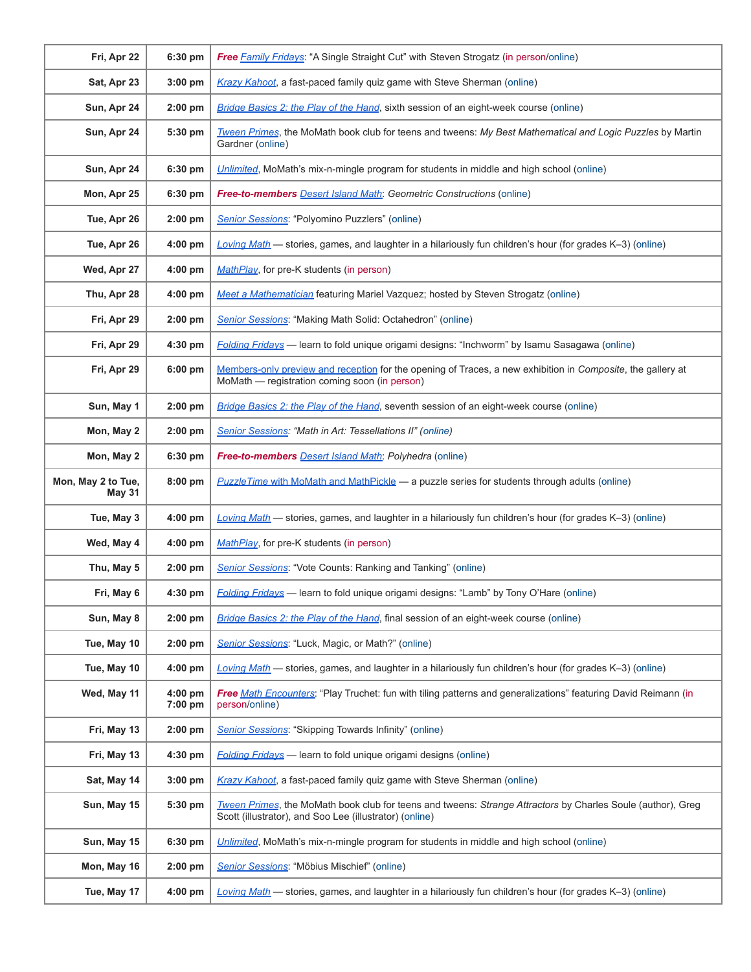| Fri, Apr 22                         | 6:30 pm              | <b>Free Family Fridays: "A Single Straight Cut" with Steven Strogatz (in person/online)</b>                                                                            |
|-------------------------------------|----------------------|------------------------------------------------------------------------------------------------------------------------------------------------------------------------|
| Sat, Apr 23                         | $3:00$ pm            | Krazy Kahoot, a fast-paced family quiz game with Steve Sherman (online)                                                                                                |
| Sun, Apr 24                         | $2:00$ pm            | Bridge Basics 2: the Play of the Hand, sixth session of an eight-week course (online)                                                                                  |
| Sun, Apr 24                         | 5:30 pm              | Tween Primes, the MoMath book club for teens and tweens: My Best Mathematical and Logic Puzzles by Martin<br>Gardner (online)                                          |
| Sun, Apr 24                         | 6:30 pm              | Unlimited, MoMath's mix-n-mingle program for students in middle and high school (online)                                                                               |
| Mon, Apr 25                         | $6:30$ pm            | <b>Free-to-members</b> Desert Island Math: Geometric Constructions (online)                                                                                            |
| Tue, Apr 26                         | $2:00$ pm            | Senior Sessions: "Polyomino Puzzlers" (online)                                                                                                                         |
| Tue, Apr 26                         | $4:00$ pm            | Loving Math — stories, games, and laughter in a hilariously fun children's hour (for grades $K-3$ ) (online)                                                           |
| Wed, Apr 27                         | $4:00$ pm            | MathPlay, for pre-K students (in person)                                                                                                                               |
| Thu, Apr 28                         | 4:00 pm              | Meet a Mathematician featuring Mariel Vazquez; hosted by Steven Strogatz (online)                                                                                      |
| Fri, Apr 29                         | $2:00$ pm            | Senior Sessions: "Making Math Solid: Octahedron" (online)                                                                                                              |
| Fri, Apr 29                         | $4:30$ pm            | Folding Fridays — learn to fold unique origami designs: "Inchworm" by Isamu Sasagawa (online)                                                                          |
| Fri, Apr 29                         | 6:00 pm              | Members-only preview and reception for the opening of Traces, a new exhibition in Composite, the gallery at<br>MoMath — registration coming soon (in person)           |
| Sun, May 1                          | 2:00 pm              | Bridge Basics 2: the Play of the Hand, seventh session of an eight-week course (online)                                                                                |
| Mon, May 2                          | $2:00$ pm            | Senior Sessions: "Math in Art: Tessellations II" (online)                                                                                                              |
| Mon, May 2                          | 6:30 pm              | <b>Free-to-members Desert Island Math:</b> Polyhedra (online)                                                                                                          |
| Mon, May 2 to Tue,<br><b>May 31</b> | 8:00 pm              | <b>PuzzleTime with MoMath and MathPickle - a puzzle series for students through adults (online)</b>                                                                    |
| Tue, May 3                          | $4:00$ pm            | Loving Math - stories, games, and laughter in a hilariously fun children's hour (for grades K-3) (online)                                                              |
| Wed, May 4                          | 4:00 pm              | MathPlay, for pre-K students (in person)                                                                                                                               |
| Thu, May 5                          | $2:00$ pm            | <b>Senior Sessions:</b> "Vote Counts: Ranking and Tanking" (online)                                                                                                    |
| Fri, May 6                          | 4:30 pm              | <b>Folding Fridays</b> — learn to fold unique origami designs: "Lamb" by Tony O'Hare (online)                                                                          |
| Sun, May 8                          | 2:00 pm              | Bridge Basics 2: the Play of the Hand, final session of an eight-week course (online)                                                                                  |
| Tue, May 10                         | $2:00$ pm            | Senior Sessions: "Luck, Magic, or Math?" (online)                                                                                                                      |
| Tue, May 10                         | $4:00$ pm            | Loving Math — stories, games, and laughter in a hilariously fun children's hour (for grades $K-3$ ) (online)                                                           |
| Wed, May 11                         | $4:00$ pm<br>7:00 pm | Free Math Encounters: "Play Truchet: fun with tiling patterns and generalizations" featuring David Reimann (in<br>person/online)                                       |
| Fri, May 13                         | $2:00$ pm            | Senior Sessions: "Skipping Towards Infinity" (online)                                                                                                                  |
| Fri, May 13                         | 4:30 pm              | <b>Folding Fridays</b> — learn to fold unique origami designs (online)                                                                                                 |
| Sat, May 14                         | 3:00 pm              | Krazy Kahoot, a fast-paced family quiz game with Steve Sherman (online)                                                                                                |
| Sun, May 15                         | $5:30$ pm            | Tween Primes, the MoMath book club for teens and tweens: Strange Attractors by Charles Soule (author), Greg<br>Scott (illustrator), and Soo Lee (illustrator) (online) |
| Sun, May 15                         | 6:30 pm              | Unlimited, MoMath's mix-n-mingle program for students in middle and high school (online)                                                                               |
| Mon, May 16                         | $2:00$ pm            | Senior Sessions: "Möbius Mischief" (online)                                                                                                                            |
| Tue, May 17                         | $4:00$ pm            | Loving Math — stories, games, and laughter in a hilariously fun children's hour (for grades K-3) (online)                                                              |